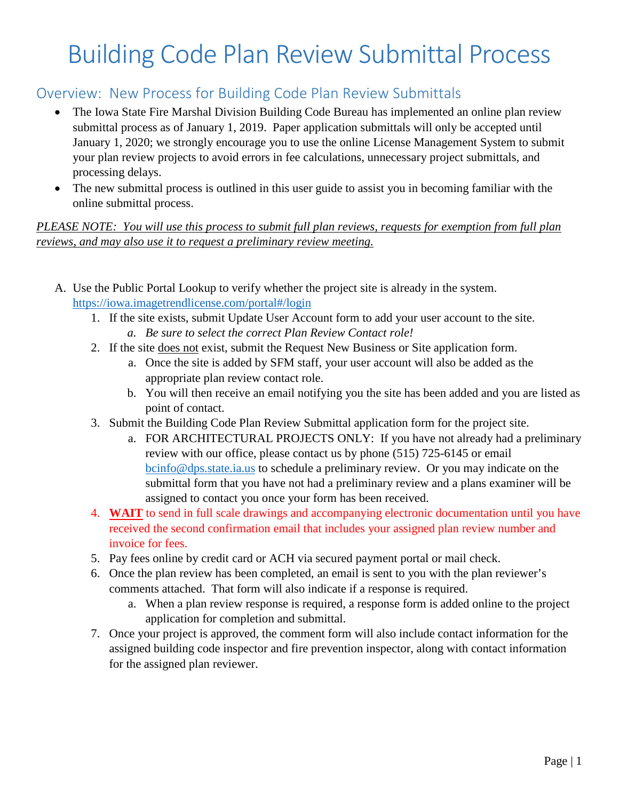# Building Code Plan Review Submittal Process

# Overview: New Process for Building Code Plan Review Submittals

- The Iowa State Fire Marshal Division Building Code Bureau has implemented an online plan review submittal process as of January 1, 2019. Paper application submittals will only be accepted until January 1, 2020; we strongly encourage you to use the online License Management System to submit your plan review projects to avoid errors in fee calculations, unnecessary project submittals, and processing delays.
- The new submittal process is outlined in this user guide to assist you in becoming familiar with the online submittal process.

# *PLEASE NOTE: You will use this process to submit full plan reviews, requests for exemption from full plan reviews, and may also use it to request a preliminary review meeting.*

- A. Use the Public Portal Lookup to verify whether the project site is already in the system. <https://iowa.imagetrendlicense.com/portal#/login>
	- 1. If the site exists, submit Update User Account form to add your user account to the site. *a. Be sure to select the correct Plan Review Contact role!*
	- 2. If the site does not exist, submit the Request New Business or Site application form.
		- a. Once the site is added by SFM staff, your user account will also be added as the appropriate plan review contact role.
		- b. You will then receive an email notifying you the site has been added and you are listed as point of contact.
	- 3. Submit the Building Code Plan Review Submittal application form for the project site.
		- a. FOR ARCHITECTURAL PROJECTS ONLY: If you have not already had a preliminary review with our office, please contact us by phone (515) 725-6145 or email [bcinfo@dps.state.ia.us](mailto:bcinfo@dps.state.ia.us) to schedule a preliminary review. Or you may indicate on the submittal form that you have not had a preliminary review and a plans examiner will be assigned to contact you once your form has been received.
	- 4. **WAIT** to send in full scale drawings and accompanying electronic documentation until you have received the second confirmation email that includes your assigned plan review number and invoice for fees.
	- 5. Pay fees online by credit card or ACH via secured payment portal or mail check.
	- 6. Once the plan review has been completed, an email is sent to you with the plan reviewer's comments attached. That form will also indicate if a response is required.
		- a. When a plan review response is required, a response form is added online to the project application for completion and submittal.
	- 7. Once your project is approved, the comment form will also include contact information for the assigned building code inspector and fire prevention inspector, along with contact information for the assigned plan reviewer.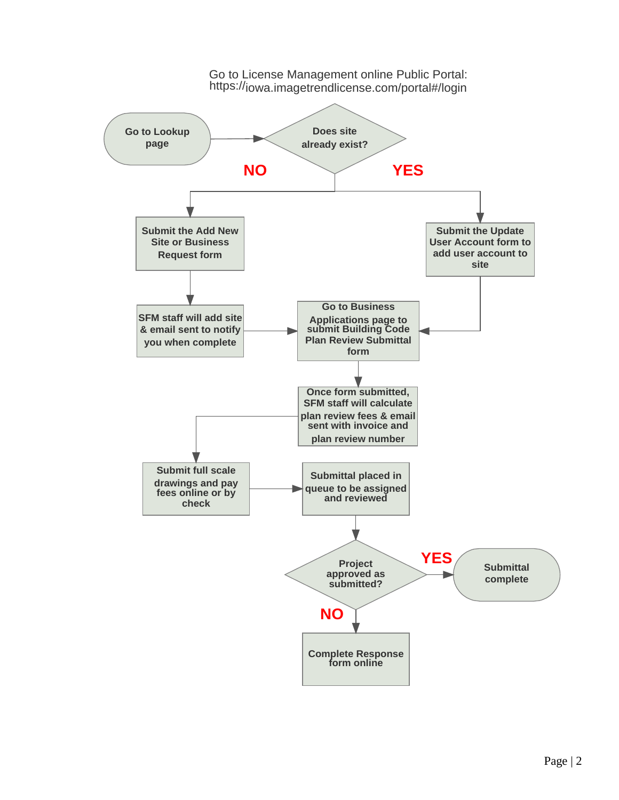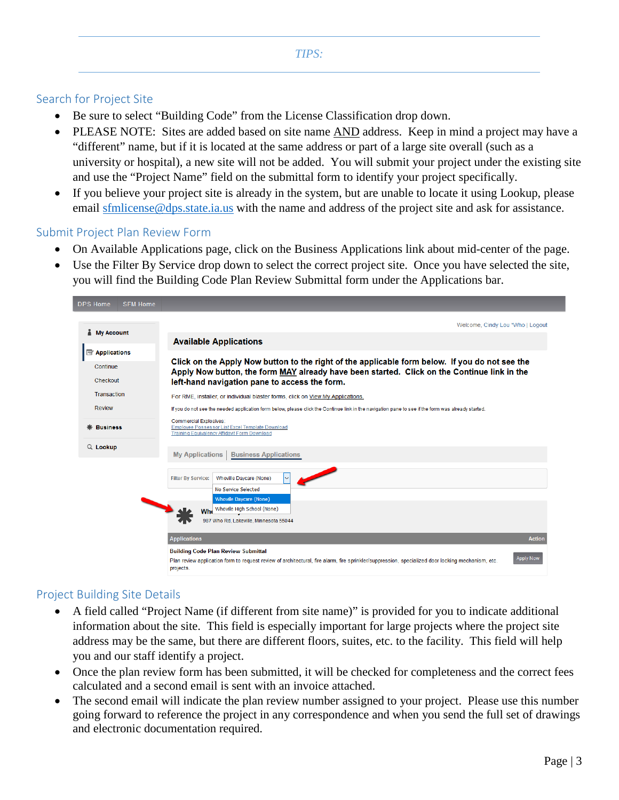## Search for Project Site

- Be sure to select "Building Code" from the License Classification drop down.
- PLEASE NOTE: Sites are added based on site name AND address. Keep in mind a project may have a "different" name, but if it is located at the same address or part of a large site overall (such as a university or hospital), a new site will not be added. You will submit your project under the existing site and use the "Project Name" field on the submittal form to identify your project specifically.
- If you believe your project site is already in the system, but are unable to locate it using Lookup, please email [sfmlicense@dps.state.ia.us](mailto:sfmlicense@dps.state.ia.us) with the name and address of the project site and ask for assistance.

#### Submit Project Plan Review Form

- On Available Applications page, click on the Business Applications link about mid-center of the page.
- Use the Filter By Service drop down to select the correct project site. Once you have selected the site, you will find the Building Code Plan Review Submittal form under the Applications bar.

| <b>DPS Home</b><br><b>SFM Home</b>   |                                                                                                                                                                                                                                                                                                                                                                                                                                                                                                          |  |  |  |  |
|--------------------------------------|----------------------------------------------------------------------------------------------------------------------------------------------------------------------------------------------------------------------------------------------------------------------------------------------------------------------------------------------------------------------------------------------------------------------------------------------------------------------------------------------------------|--|--|--|--|
| My Account                           | Welcome, Cindy Lou *Who   Logout                                                                                                                                                                                                                                                                                                                                                                                                                                                                         |  |  |  |  |
|                                      | <b>Available Applications</b>                                                                                                                                                                                                                                                                                                                                                                                                                                                                            |  |  |  |  |
| Applications<br>Continue<br>Checkout | Click on the Apply Now button to the right of the applicable form below. If you do not see the<br>Apply Now button, the form MAY already have been started. Click on the Continue link in the<br>left-hand navigation pane to access the form.                                                                                                                                                                                                                                                           |  |  |  |  |
| <b>Transaction</b>                   | For RME, installer, or individual blaster forms, click on View My Applications.                                                                                                                                                                                                                                                                                                                                                                                                                          |  |  |  |  |
| <b>Review</b>                        | If you do not see the needed application form below, please click the Continue link in the navigation pane to see if the form was already started.                                                                                                                                                                                                                                                                                                                                                       |  |  |  |  |
| <b>Business</b>                      | <b>Commercial Explosives:</b><br>Employee Possessor List Excel Template Download<br>Training Equivalency Affidavit Form Download                                                                                                                                                                                                                                                                                                                                                                         |  |  |  |  |
| $Q$ Lookup                           | <b>My Applications</b><br><b>Business Applications</b>                                                                                                                                                                                                                                                                                                                                                                                                                                                   |  |  |  |  |
|                                      | <b>Whoville Davcare (None)</b><br><b>Filter By Service:</b><br>$\overline{\mathsf{v}}$<br>No Service Selected<br><b>Whoville Daycare (None)</b><br>Who Whoville High School (None)<br>987 Who Rd, Lakeville, Minnesota 55044<br><b>Applications</b><br><b>Action</b><br><b>Building Code Plan Review Submittal</b><br><b>Apply Now</b><br>Plan review application form to request review of architectural, fire alarm, fire sprinkler/suppression, specialized door locking mechanism, etc.<br>projects. |  |  |  |  |

# Project Building Site Details

- A field called "Project Name (if different from site name)" is provided for you to indicate additional information about the site. This field is especially important for large projects where the project site address may be the same, but there are different floors, suites, etc. to the facility. This field will help you and our staff identify a project.
- Once the plan review form has been submitted, it will be checked for completeness and the correct fees calculated and a second email is sent with an invoice attached.
- The second email will indicate the plan review number assigned to your project. Please use this number going forward to reference the project in any correspondence and when you send the full set of drawings and electronic documentation required.